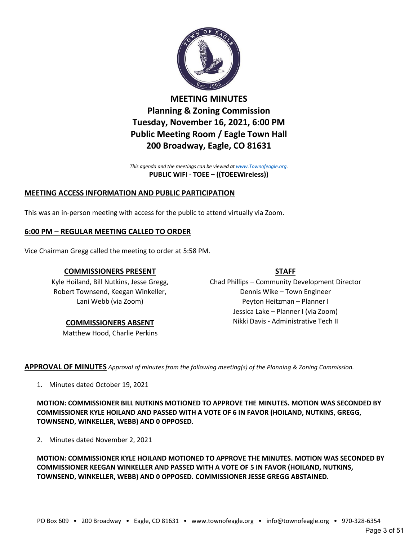

**MEETING MINUTES Planning & Zoning Commission Tuesday, November 16, 2021, 6:00 PM Public Meeting Room / Eagle Town Hall 200 Broadway, Eagle, CO 81631**

*This agenda and the meetings can be viewed a[t www.Townofeagle.org.](http://www.townofeagle.org/)* **PUBLIC WIFI - TOEE – ((TOEEWireless))**

# **MEETING ACCESS INFORMATION AND PUBLIC PARTICIPATION**

This was an in-person meeting with access for the public to attend virtually via Zoom.

## **6:00 PM – REGULAR MEETING CALLED TO ORDER**

Vice Chairman Gregg called the meeting to order at 5:58 PM.

## **COMMISSIONERS PRESENT**

Kyle Hoiland, Bill Nutkins, Jesse Gregg, Robert Townsend, Keegan Winkeller, Lani Webb (via Zoom)

## **COMMISSIONERS ABSENT**

Matthew Hood, Charlie Perkins

### **STAFF**

Chad Phillips – Community Development Director Dennis Wike – Town Engineer Peyton Heitzman – Planner I Jessica Lake – Planner I (via Zoom) Nikki Davis - Administrative Tech II

**APPROVAL OF MINUTES** *Approval of minutes from the following meeting(s) of the Planning & Zoning Commission.*

1. Minutes dated October 19, 2021

**MOTION: COMMISSIONER BILL NUTKINS MOTIONED TO APPROVE THE MINUTES. MOTION WAS SECONDED BY COMMISSIONER KYLE HOILAND AND PASSED WITH A VOTE OF 6 IN FAVOR (HOILAND, NUTKINS, GREGG, TOWNSEND, WINKELLER, WEBB) AND 0 OPPOSED.**

2. Minutes dated November 2, 2021

**MOTION: COMMISSIONER KYLE HOILAND MOTIONED TO APPROVE THE MINUTES. MOTION WAS SECONDED BY COMMISSIONER KEEGAN WINKELLER AND PASSED WITH A VOTE OF 5 IN FAVOR (HOILAND, NUTKINS, TOWNSEND, WINKELLER, WEBB) AND 0 OPPOSED. COMMISSIONER JESSE GREGG ABSTAINED.**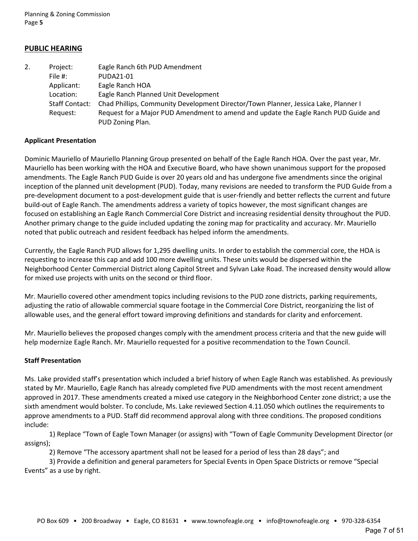Planning & Zoning Commission Page **5**

## **PUBLIC HEARING**

| 2. | Project:              | Eagle Ranch 6th PUD Amendment                                                       |
|----|-----------------------|-------------------------------------------------------------------------------------|
|    | File #:               | PUDA21-01                                                                           |
|    | Applicant:            | Eagle Ranch HOA                                                                     |
|    | Location:             | Eagle Ranch Planned Unit Development                                                |
|    | <b>Staff Contact:</b> | Chad Phillips, Community Development Director/Town Planner, Jessica Lake, Planner I |
|    | Request:              | Request for a Major PUD Amendment to amend and update the Eagle Ranch PUD Guide and |
|    |                       | PUD Zoning Plan.                                                                    |

#### **Applicant Presentation**

Dominic Mauriello of Mauriello Planning Group presented on behalf of the Eagle Ranch HOA. Over the past year, Mr. Mauriello has been working with the HOA and Executive Board, who have shown unanimous support for the proposed amendments. The Eagle Ranch PUD Guide is over 20 years old and has undergone five amendments since the original inception of the planned unit development (PUD). Today, many revisions are needed to transform the PUD Guide from a pre-development document to a post-development guide that is user-friendly and better reflects the current and future build-out of Eagle Ranch. The amendments address a variety of topics however, the most significant changes are focused on establishing an Eagle Ranch Commercial Core District and increasing residential density throughout the PUD. Another primary change to the guide included updating the zoning map for practicality and accuracy. Mr. Mauriello noted that public outreach and resident feedback has helped inform the amendments.

Currently, the Eagle Ranch PUD allows for 1,295 dwelling units. In order to establish the commercial core, the HOA is requesting to increase this cap and add 100 more dwelling units. These units would be dispersed within the Neighborhood Center Commercial District along Capitol Street and Sylvan Lake Road. The increased density would allow for mixed use projects with units on the second or third floor.

Mr. Mauriello covered other amendment topics including revisions to the PUD zone districts, parking requirements, adjusting the ratio of allowable commercial square footage in the Commercial Core District, reorganizing the list of allowable uses, and the general effort toward improving definitions and standards for clarity and enforcement.

Mr. Mauriello believes the proposed changes comply with the amendment process criteria and that the new guide will help modernize Eagle Ranch. Mr. Mauriello requested for a positive recommendation to the Town Council.

#### **Staff Presentation**

Ms. Lake provided staff's presentation which included a brief history of when Eagle Ranch was established. As previously stated by Mr. Mauriello, Eagle Ranch has already completed five PUD amendments with the most recent amendment approved in 2017. These amendments created a mixed use category in the Neighborhood Center zone district; a use the sixth amendment would bolster. To conclude, Ms. Lake reviewed Section 4.11.050 which outlines the requirements to approve amendments to a PUD. Staff did recommend approval along with three conditions. The proposed conditions include:

1) Replace "Town of Eagle Town Manager (or assigns) with "Town of Eagle Community Development Director (or assigns);

2) Remove "The accessory apartment shall not be leased for a period of less than 28 days"; and

3) Provide a definition and general parameters for Special Events in Open Space Districts or remove "Special Events" as a use by right.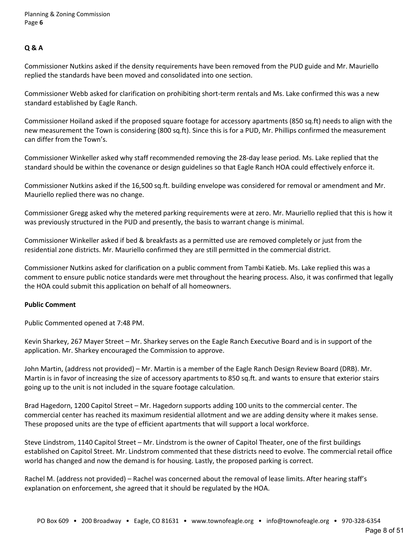## **Q & A**

Commissioner Nutkins asked if the density requirements have been removed from the PUD guide and Mr. Mauriello replied the standards have been moved and consolidated into one section.

Commissioner Webb asked for clarification on prohibiting short-term rentals and Ms. Lake confirmed this was a new standard established by Eagle Ranch.

Commissioner Hoiland asked if the proposed square footage for accessory apartments (850 sq.ft) needs to align with the new measurement the Town is considering (800 sq.ft). Since this is for a PUD, Mr. Phillips confirmed the measurement can differ from the Town's.

Commissioner Winkeller asked why staff recommended removing the 28-day lease period. Ms. Lake replied that the standard should be within the covenance or design guidelines so that Eagle Ranch HOA could effectively enforce it.

Commissioner Nutkins asked if the 16,500 sq.ft. building envelope was considered for removal or amendment and Mr. Mauriello replied there was no change.

Commissioner Gregg asked why the metered parking requirements were at zero. Mr. Mauriello replied that this is how it was previously structured in the PUD and presently, the basis to warrant change is minimal.

Commissioner Winkeller asked if bed & breakfasts as a permitted use are removed completely or just from the residential zone districts. Mr. Mauriello confirmed they are still permitted in the commercial district.

Commissioner Nutkins asked for clarification on a public comment from Tambi Katieb. Ms. Lake replied this was a comment to ensure public notice standards were met throughout the hearing process. Also, it was confirmed that legally the HOA could submit this application on behalf of all homeowners.

### **Public Comment**

Public Commented opened at 7:48 PM.

Kevin Sharkey, 267 Mayer Street – Mr. Sharkey serves on the Eagle Ranch Executive Board and is in support of the application. Mr. Sharkey encouraged the Commission to approve.

John Martin, (address not provided) – Mr. Martin is a member of the Eagle Ranch Design Review Board (DRB). Mr. Martin is in favor of increasing the size of accessory apartments to 850 sq.ft. and wants to ensure that exterior stairs going up to the unit is not included in the square footage calculation.

Brad Hagedorn, 1200 Capitol Street – Mr. Hagedorn supports adding 100 units to the commercial center. The commercial center has reached its maximum residential allotment and we are adding density where it makes sense. These proposed units are the type of efficient apartments that will support a local workforce.

Steve Lindstrom, 1140 Capitol Street – Mr. Lindstrom is the owner of Capitol Theater, one of the first buildings established on Capitol Street. Mr. Lindstrom commented that these districts need to evolve. The commercial retail office world has changed and now the demand is for housing. Lastly, the proposed parking is correct.

Rachel M. (address not provided) – Rachel was concerned about the removal of lease limits. After hearing staff's explanation on enforcement, she agreed that it should be regulated by the HOA.

#### Page 8 of 51